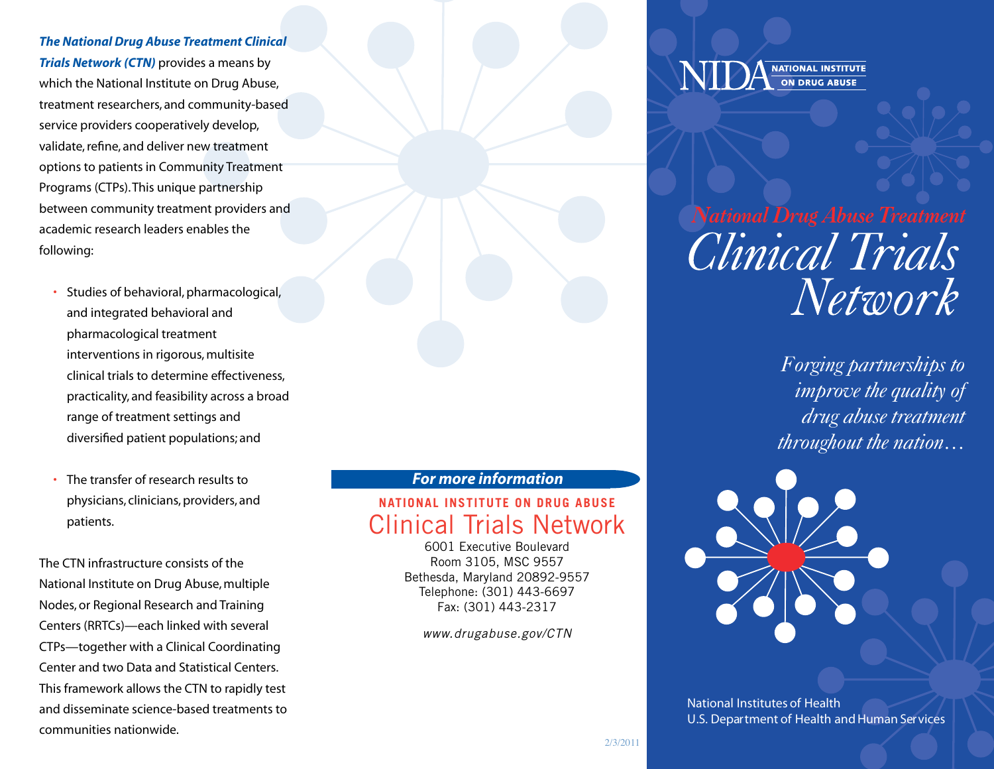## *The National Drug Abuse Treatment Clinical*

*Trials Network (CTN)* provides a means by which the National Institute on Drug Abuse, treatment researchers, and community-based service providers cooperatively develop, validate, refine, and deliver new treatment options to patients in Community Treatment Programs (CTPs). This unique partnership between community treatment providers and academic research leaders enables the following:

- Studies of behavioral, pharmacological, and integrated behavioral and pharmacological treatment interventions in rigorous, multisite clinical trials to determine effectiveness, practicality, and feasibility across a broad range of treatment settings and diversified patient populations; and
- The transfer of research results to physicians, clinicians, providers, and patients.

The CTN infrastructure consists of the National Institute on Drug Abuse, multiple Nodes, or Regional Research and Training Centers (RRTCs)—each linked with several CTPs—together with a Clinical Coordinating Center and two Data and Statistical Centers. This framework allows the CTN to rapidly test and disseminate science-based treatments to communities nationwide.

## *For more information*

# **NATIONAL INSTITUTE ON DRUG ABUSE** Clinical Trials Network

6001 Executive Boulevard Room 3105, MSC 9557 Bethesda, Maryland 20892-9557 Telephone: (301) 443-6697 Fax: (301) 443-2317

*[www.drugabuse.gov/CTN](http://www.drugabuse.gov/CTN)*

**NATIONAL INSTITUTE ON DRUG ABUSE** 

National Drug Abuse Treatment Clinical Trials Network

> *Forging partnerships to improve the quality of drug abuse treatment throughout the nation…*



National Institutes of Health U.S. Department of Health and Human Services